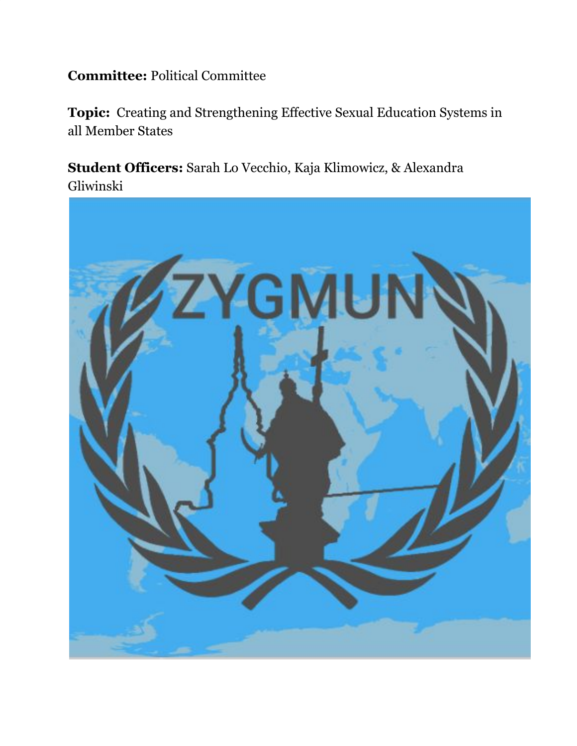# **Committee:** Political Committee

**Topic:** Creating and Strengthening Effective Sexual Education Systems in all Member States

**Student Officers:** Sarah Lo Vecchio, Kaja Klimowicz, & Alexandra Gliwinski

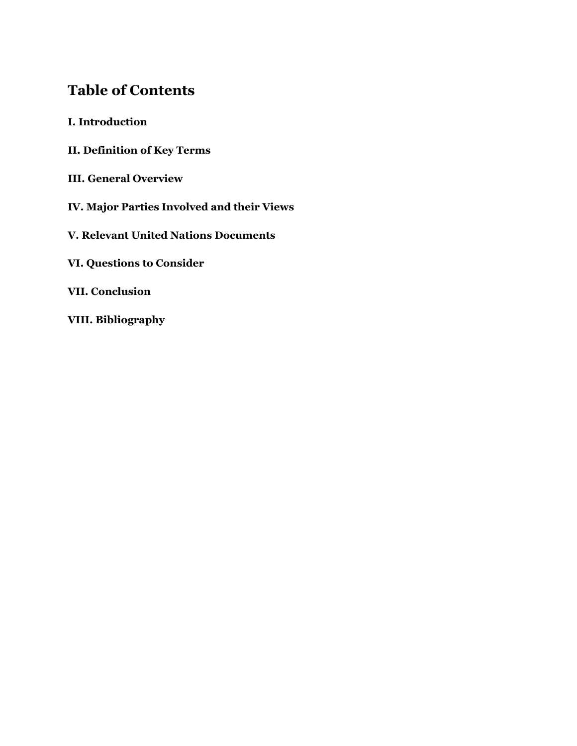# **Table of Contents**

- **I. Introduction**
- **II. Definition of Key Terms**
- **III. General Overview**
- **IV. Major Parties Involved and their Views**
- **V. Relevant United Nations Documents**
- **VI. Questions to Consider**
- **VII. Conclusion**
- **VIII. Bibliography**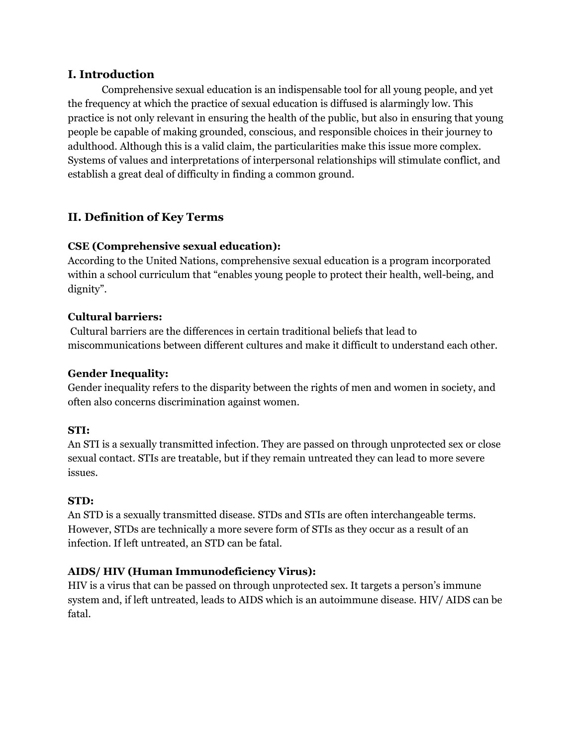## **I. Introduction**

Comprehensive sexual education is an indispensable tool for all young people, and yet the frequency at which the practice of sexual education is diffused is alarmingly low. This practice is not only relevant in ensuring the health of the public, but also in ensuring that young people be capable of making grounded, conscious, and responsible choices in their journey to adulthood. Although this is a valid claim, the particularities make this issue more complex. Systems of values and interpretations of interpersonal relationships will stimulate conflict, and establish a great deal of difficulty in finding a common ground.

# **II. Definition of Key Terms**

## **CSE (Comprehensive sexual education):**

According to the United Nations, comprehensive sexual education is a program incorporated within a school curriculum that "enables young people to protect their health, well-being, and dignity".

## **Cultural barriers:**

Cultural barriers are the differences in certain traditional beliefs that lead to miscommunications between different cultures and make it difficult to understand each other.

## **Gender Inequality:**

Gender inequality refers to the disparity between the rights of men and women in society, and often also concerns discrimination against women.

# **STI:**

An STI is a sexually transmitted infection. They are passed on through unprotected sex or close sexual contact. STIs are treatable, but if they remain untreated they can lead to more severe issues.

## **STD:**

An STD is a sexually transmitted disease. STDs and STIs are often interchangeable terms. However, STDs are technically a more severe form of STIs as they occur as a result of an infection. If left untreated, an STD can be fatal.

# **AIDS/ HIV (Human Immunodeficiency Virus):**

HIV is a virus that can be passed on through unprotected sex. It targets a person's immune system and, if left untreated, leads to AIDS which is an autoimmune disease. HIV/ AIDS can be fatal.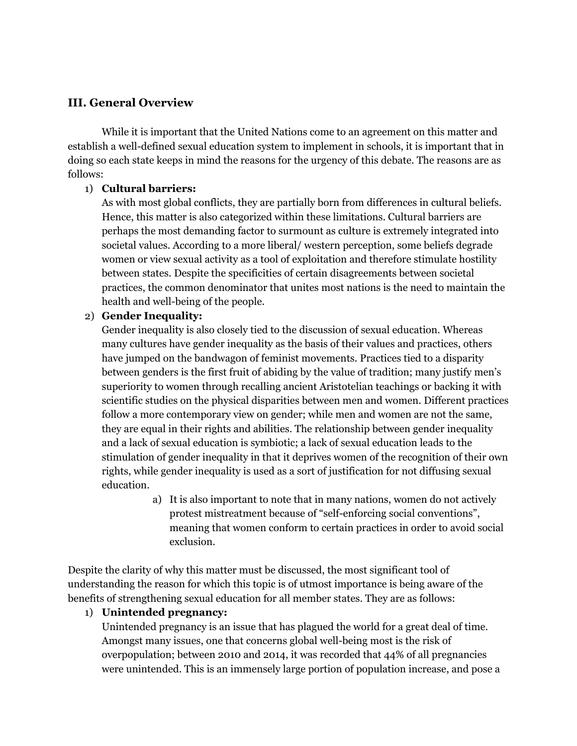# **III. General Overview**

While it is important that the United Nations come to an agreement on this matter and establish a well-defined sexual education system to implement in schools, it is important that in doing so each state keeps in mind the reasons for the urgency of this debate. The reasons are as follows:

#### 1) **Cultural barriers:**

As with most global conflicts, they are partially born from differences in cultural beliefs. Hence, this matter is also categorized within these limitations. Cultural barriers are perhaps the most demanding factor to surmount as culture is extremely integrated into societal values. According to a more liberal/ western perception, some beliefs degrade women or view sexual activity as a tool of exploitation and therefore stimulate hostility between states. Despite the specificities of certain disagreements between societal practices, the common denominator that unites most nations is the need to maintain the health and well-being of the people.

## 2) **Gender Inequality:**

Gender inequality is also closely tied to the discussion of sexual education. Whereas many cultures have gender inequality as the basis of their values and practices, others have jumped on the bandwagon of feminist movements. Practices tied to a disparity between genders is the first fruit of abiding by the value of tradition; many justify men's superiority to women through recalling ancient Aristotelian teachings or backing it with scientific studies on the physical disparities between men and women. Different practices follow a more contemporary view on gender; while men and women are not the same, they are equal in their rights and abilities. The relationship between gender inequality and a lack of sexual education is symbiotic; a lack of sexual education leads to the stimulation of gender inequality in that it deprives women of the recognition of their own rights, while gender inequality is used as a sort of justification for not diffusing sexual education.

> a) It is also important to note that in many nations, women do not actively protest mistreatment because of "self-enforcing social conventions", meaning that women conform to certain practices in order to avoid social exclusion.

Despite the clarity of why this matter must be discussed, the most significant tool of understanding the reason for which this topic is of utmost importance is being aware of the benefits of strengthening sexual education for all member states. They are as follows:

## 1) **Unintended pregnancy:**

Unintended pregnancy is an issue that has plagued the world for a great deal of time. Amongst many issues, one that concerns global well-being most is the risk of overpopulation; between 2010 and 2014, it was recorded that 44% of all pregnancies were unintended. This is an immensely large portion of population increase, and pose a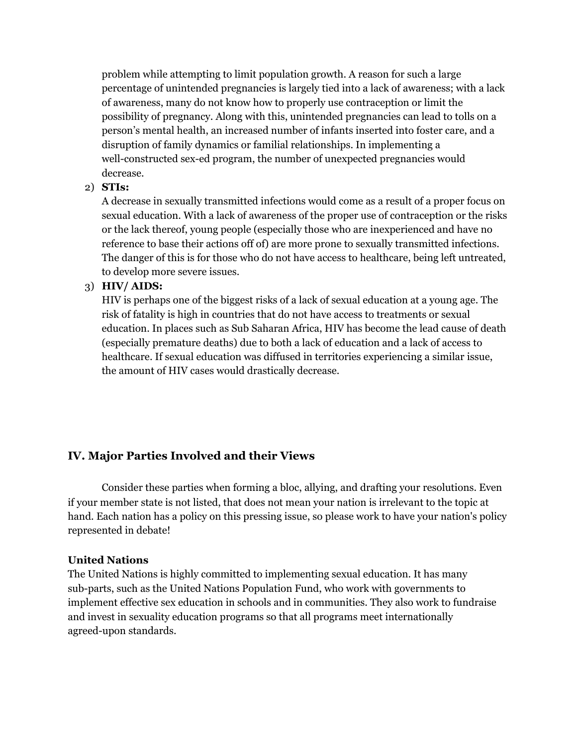problem while attempting to limit population growth. A reason for such a large percentage of unintended pregnancies is largely tied into a lack of awareness; with a lack of awareness, many do not know how to properly use contraception or limit the possibility of pregnancy. Along with this, unintended pregnancies can lead to tolls on a person's mental health, an increased number of infants inserted into foster care, and a disruption of family dynamics or familial relationships. In implementing a well-constructed sex-ed program, the number of unexpected pregnancies would decrease.

## 2) **STIs:**

A decrease in sexually transmitted infections would come as a result of a proper focus on sexual education. With a lack of awareness of the proper use of contraception or the risks or the lack thereof, young people (especially those who are inexperienced and have no reference to base their actions off of) are more prone to sexually transmitted infections. The danger of this is for those who do not have access to healthcare, being left untreated, to develop more severe issues.

#### 3) **HIV/ AIDS:**

HIV is perhaps one of the biggest risks of a lack of sexual education at a young age. The risk of fatality is high in countries that do not have access to treatments or sexual education. In places such as Sub Saharan Africa, HIV has become the lead cause of death (especially premature deaths) due to both a lack of education and a lack of access to healthcare. If sexual education was diffused in territories experiencing a similar issue, the amount of HIV cases would drastically decrease.

# **IV. Major Parties Involved and their Views**

Consider these parties when forming a bloc, allying, and drafting your resolutions. Even if your member state is not listed, that does not mean your nation is irrelevant to the topic at hand. Each nation has a policy on this pressing issue, so please work to have your nation's policy represented in debate!

#### **United Nations**

The United Nations is highly committed to implementing sexual education. It has many sub-parts, such as the United Nations Population Fund, who work with governments to implement effective sex education in schools and in communities. They also work to fundraise and invest in sexuality education programs so that all programs meet internationally agreed-upon standards.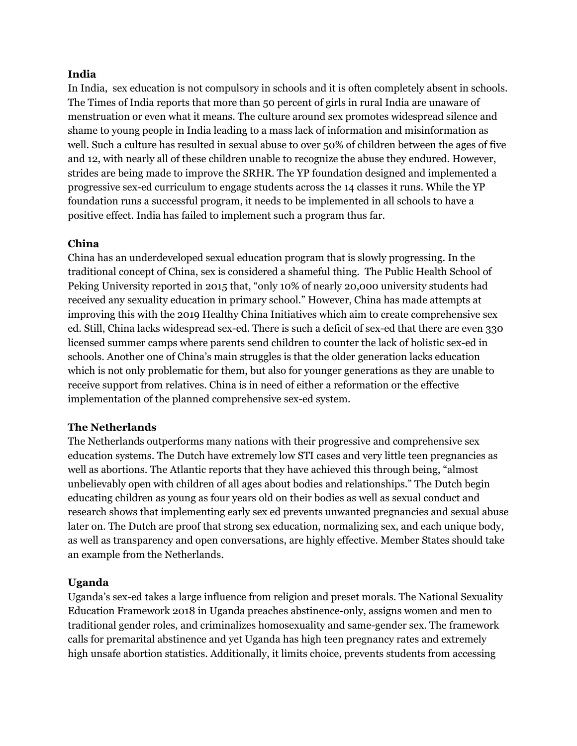#### **India**

In India, sex education is not compulsory in schools and it is often completely absent in schools. The Times of India reports that more than 50 percent of girls in rural India are unaware of menstruation or even what it means. The culture around sex promotes widespread silence and shame to young people in India leading to a mass lack of information and misinformation as well. Such a culture has resulted in sexual abuse to over 50% of children between the ages of five and 12, with nearly all of these children unable to recognize the abuse they endured. However, strides are being made to improve the SRHR. The YP foundation designed and implemented a progressive sex-ed curriculum to engage students across the 14 classes it runs. While the YP foundation runs a successful program, it needs to be implemented in all schools to have a positive effect. India has failed to implement such a program thus far.

#### **China**

China has an underdeveloped sexual education program that is slowly progressing. In the traditional concept of China, sex is considered a shameful thing. The Public Health School of Peking University reported in 2015 that, "only 10% of nearly 20,000 university students had received any sexuality education in primary school." However, China has made attempts at improving this with the 2019 Healthy China Initiatives which aim to create comprehensive sex ed. Still, China lacks widespread sex-ed. There is such a deficit of sex-ed that there are even 330 licensed summer camps where parents send children to counter the lack of holistic sex-ed in schools. Another one of China's main struggles is that the older generation lacks education which is not only problematic for them, but also for younger generations as they are unable to receive support from relatives. China is in need of either a reformation or the effective implementation of the planned comprehensive sex-ed system.

#### **The Netherlands**

The Netherlands outperforms many nations with their progressive and comprehensive sex education systems. The Dutch have extremely low STI cases and very little teen pregnancies as well as abortions. The Atlantic reports that they have achieved this through being, "almost unbelievably open with children of all ages about bodies and relationships." The Dutch begin educating children as young as four years old on their bodies as well as sexual conduct and research shows that implementing early sex ed prevents unwanted pregnancies and sexual abuse later on. The Dutch are proof that strong sex education, normalizing sex, and each unique body, as well as transparency and open conversations, are highly effective. Member States should take an example from the Netherlands.

#### **Uganda**

Uganda's sex-ed takes a large influence from religion and preset morals. The National Sexuality Education Framework 2018 in Uganda preaches abstinence-only, assigns women and men to traditional gender roles, and criminalizes homosexuality and same-gender sex. The framework calls for premarital abstinence and yet Uganda has high teen pregnancy rates and extremely high unsafe abortion statistics. Additionally, it limits choice, prevents students from accessing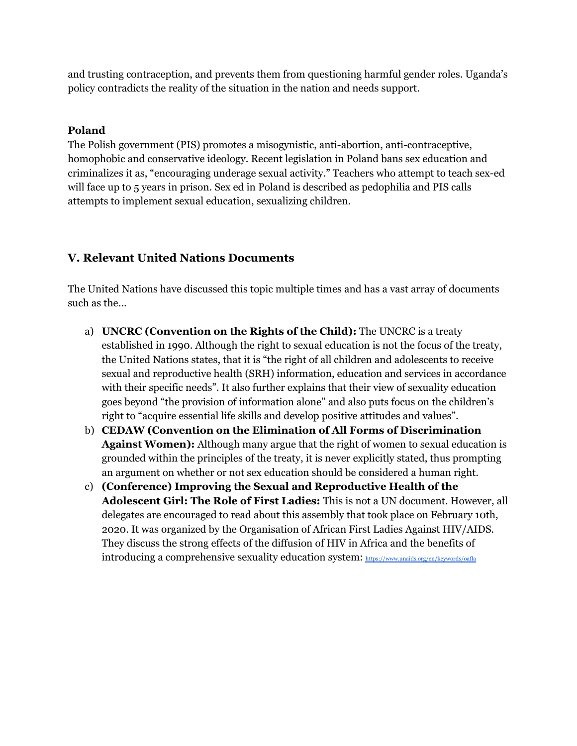and trusting contraception, and prevents them from questioning harmful gender roles. Uganda's policy contradicts the reality of the situation in the nation and needs support.

### **Poland**

The Polish government (PIS) promotes a misogynistic, anti-abortion, anti-contraceptive, homophobic and conservative ideology. Recent legislation in Poland bans sex education and criminalizes it as, "encouraging underage sexual activity." Teachers who attempt to teach sex-ed will face up to 5 years in prison. Sex ed in Poland is described as pedophilia and PIS calls attempts to implement sexual education, sexualizing children.

# **V. Relevant United Nations Documents**

The United Nations have discussed this topic multiple times and has a vast array of documents such as the…

- a) **UNCRC (Convention on the Rights of the Child):** The UNCRC is a treaty established in 1990. Although the right to sexual education is not the focus of the treaty, the United Nations states, that it is "the right of all children and adolescents to receive sexual and reproductive health (SRH) information, education and services in accordance with their specific needs". It also further explains that their view of sexuality education goes beyond "the provision of information alone" and also puts focus on the children's right to "acquire essential life skills and develop positive attitudes and values".
- b) **CEDAW (Convention on the Elimination of All Forms of Discrimination Against Women):** Although many argue that the right of women to sexual education is grounded within the principles of the treaty, it is never explicitly stated, thus prompting an argument on whether or not sex education should be considered a human right.
- c) **(Conference) Improving the Sexual and Reproductive Health of the Adolescent Girl: The Role of First Ladies:** This is not a UN document. However, all delegates are encouraged to read about this assembly that took place on February 10th, 2020. It was organized by the Organisation of African First Ladies Against HIV/AIDS. They discuss the strong effects of the diffusion of HIV in Africa and the benefits of introducing a comprehensive sexuality education system: <https://www.unaids.org/en/keywords/oafla>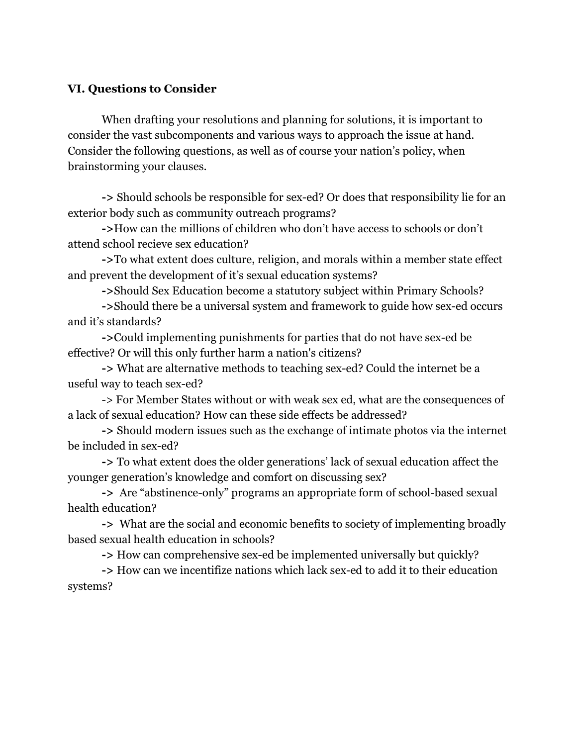# **VI. Questions to Consider**

When drafting your resolutions and planning for solutions, it is important to consider the vast subcomponents and various ways to approach the issue at hand. Consider the following questions, as well as of course your nation's policy, when brainstorming your clauses.

**->** Should schools be responsible for sex-ed? Or does that responsibility lie for an exterior body such as community outreach programs?

**->**How can the millions of children who don't have access to schools or don't attend school recieve sex education?

**->**To what extent does culture, religion, and morals within a member state effect and prevent the development of it's sexual education systems?

**->**Should Sex Education become a statutory subject within Primary Schools?

**->**Should there be a universal system and framework to guide how sex-ed occurs and it's standards?

**->**Could implementing punishments for parties that do not have sex-ed be effective? Or will this only further harm a nation's citizens?

**->** What are alternative methods to teaching sex-ed? Could the internet be a useful way to teach sex-ed?

-> For Member States without or with weak sex ed, what are the consequences of a lack of sexual education? How can these side effects be addressed?

**->** Should modern issues such as the exchange of intimate photos via the internet be included in sex-ed?

**->** To what extent does the older generations' lack of sexual education affect the younger generation's knowledge and comfort on discussing sex?

**->** Are "abstinence-only" programs an appropriate form of school-based sexual health education?

**->** What are the social and economic benefits to society of implementing broadly based sexual health education in schools?

**->** How can comprehensive sex-ed be implemented universally but quickly?

**->** How can we incentifize nations which lack sex-ed to add it to their education systems?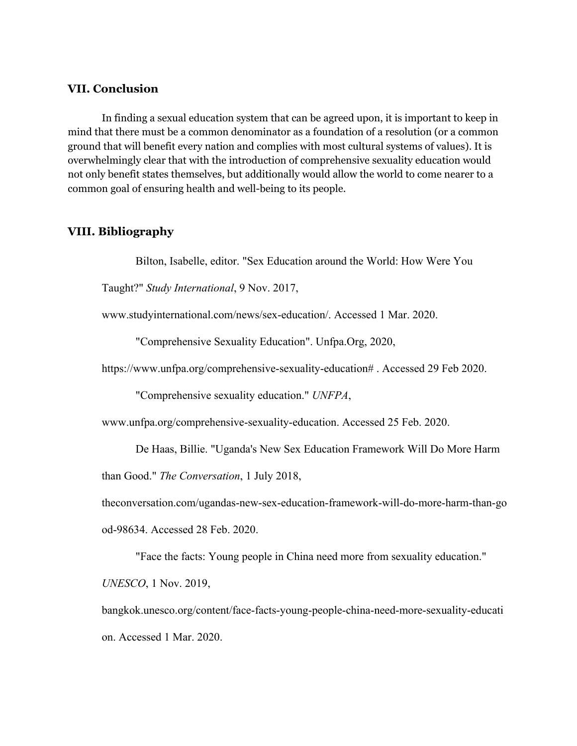#### **VII. Conclusion**

In finding a sexual education system that can be agreed upon, it is important to keep in mind that there must be a common denominator as a foundation of a resolution (or a common ground that will benefit every nation and complies with most cultural systems of values). It is overwhelmingly clear that with the introduction of comprehensive sexuality education would not only benefit states themselves, but additionally would allow the world to come nearer to a common goal of ensuring health and well-being to its people.

#### **VIII. Bibliography**

Bilton, Isabelle, editor. "Sex Education around the World: How Were You

Taught?" *Study International*, 9 Nov. 2017,

www.studyinternational.com/news/sex-education/. Accessed 1 Mar. 2020.

"Comprehensive Sexuality Education". Unfpa.Org, 2020,

https://www.unfpa.org/comprehensive-sexuality-education# . Accessed 29 Feb 2020.

"Comprehensive sexuality education." *UNFPA*,

www.unfpa.org/comprehensive-sexuality-education. Accessed 25 Feb. 2020.

De Haas, Billie. "Uganda's New Sex Education Framework Will Do More Harm

than Good." *The Conversation*, 1 July 2018,

theconversation.com/ugandas-new-sex-education-framework-will-do-more-harm-than-go

od-98634. Accessed 28 Feb. 2020.

"Face the facts: Young people in China need more from sexuality education."

*UNESCO*, 1 Nov. 2019,

bangkok.unesco.org/content/face-facts-young-people-china-need-more-sexuality-educati on. Accessed 1 Mar. 2020.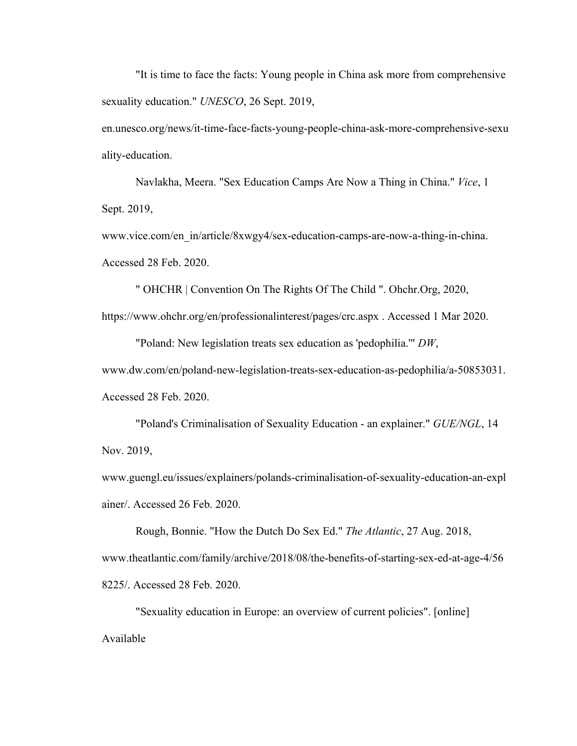"It is time to face the facts: Young people in China ask more from comprehensive sexuality education." *UNESCO*, 26 Sept. 2019,

en.unesco.org/news/it-time-face-facts-young-people-china-ask-more-comprehensive-sexu ality-education.

Navlakha, Meera. "Sex Education Camps Are Now a Thing in China." *Vice*, 1 Sept. 2019,

www.vice.com/en\_in/article/8xwgy4/sex-education-camps-are-now-a-thing-in-china. Accessed 28 Feb. 2020.

" OHCHR | Convention On The Rights Of The Child ". Ohchr.Org, 2020, https://www.ohchr.org/en/professionalinterest/pages/crc.aspx . Accessed 1 Mar 2020.

"Poland: New legislation treats sex education as 'pedophilia.'" *DW*, www.dw.com/en/poland-new-legislation-treats-sex-education-as-pedophilia/a-50853031. Accessed 28 Feb. 2020.

"Poland's Criminalisation of Sexuality Education - an explainer." *GUE/NGL*, 14 Nov. 2019,

www.guengl.eu/issues/explainers/polands-criminalisation-of-sexuality-education-an-expl ainer/. Accessed 26 Feb. 2020.

Rough, Bonnie. "How the Dutch Do Sex Ed." *The Atlantic*, 27 Aug. 2018, www.theatlantic.com/family/archive/2018/08/the-benefits-of-starting-sex-ed-at-age-4/56 8225/. Accessed 28 Feb. 2020.

"Sexuality education in Europe: an overview of current policies". [online] Available